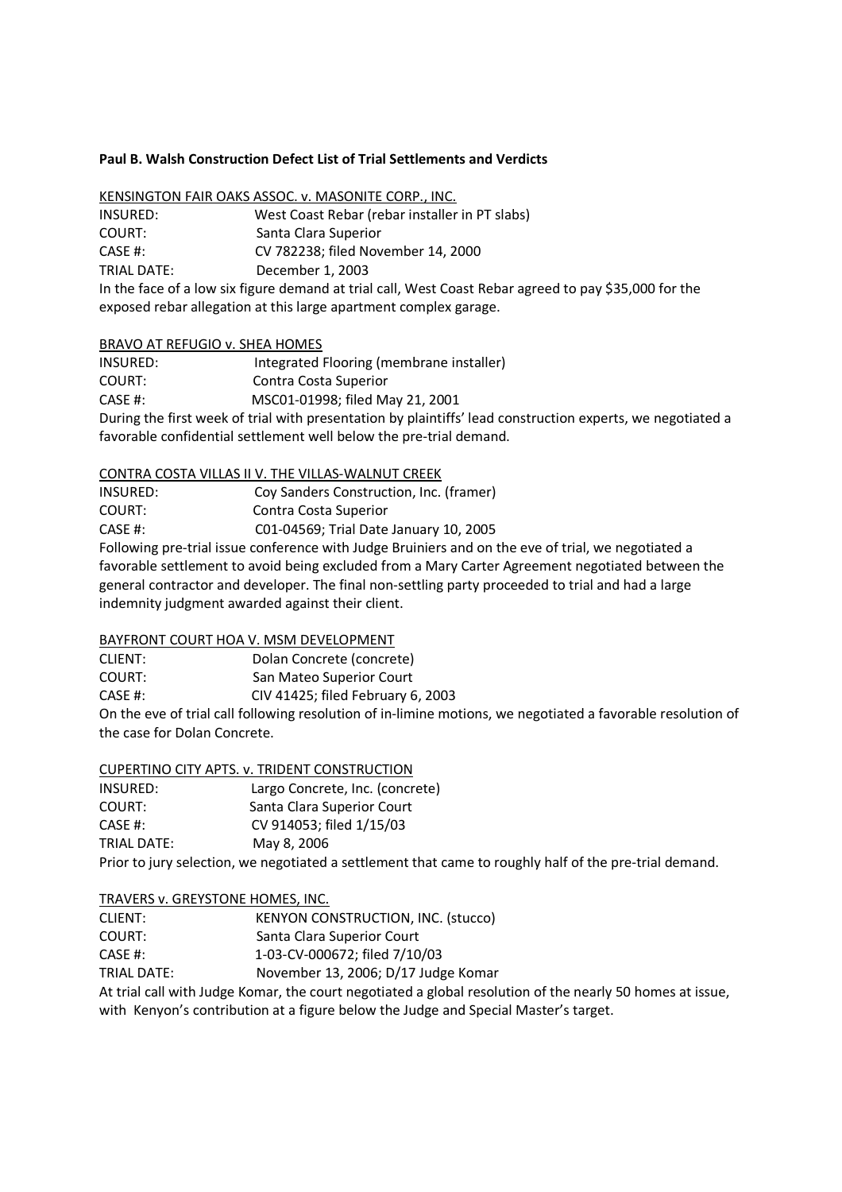## **Paul B. Walsh Construction Defect List of Trial Settlements and Verdicts**

| KENSINGTON FAIR OAKS ASSOC. v. MASONITE CORP., INC. |  |  |  |  |  |
|-----------------------------------------------------|--|--|--|--|--|
| 11.00110000                                         |  |  |  |  |  |

| INSURED:    | West Coast Rebar (rebar installer in PT slabs)                                                        |
|-------------|-------------------------------------------------------------------------------------------------------|
| COURT:      | Santa Clara Superior                                                                                  |
| CASE #:     | CV 782238: filed November 14, 2000                                                                    |
| TRIAL DATE: | December 1, 2003                                                                                      |
|             | In the face of a low six figure demand at trial call, West Coast Rebar agreed to pay \$35,000 for the |

exposed rebar allegation at this large apartment complex garage.

### BRAVO AT REFUGIO v. SHEA HOMES

| INSURED:                                                                                                   | Integrated Flooring (membrane installer) |  |
|------------------------------------------------------------------------------------------------------------|------------------------------------------|--|
| COURT:                                                                                                     | Contra Costa Superior                    |  |
| CASE #:                                                                                                    | MSC01-01998; filed May 21, 2001          |  |
| During the first week of trial with presentation by plaintiffs' lead construction experts, we negotiated a |                                          |  |
| favorable confidential settlement well below the pre-trial demand.                                         |                                          |  |

## CONTRA COSTA VILLAS II V. THE VILLAS-WALNUT CREEK

| INSURED: | Coy Sanders Construction, Inc. (framer) |
|----------|-----------------------------------------|
| COURT:   | Contra Costa Superior                   |
| CASE #:  | C01-04569; Trial Date January 10, 2005  |
|          |                                         |

Following pre-trial issue conference with Judge Bruiniers and on the eve of trial, we negotiated a favorable settlement to avoid being excluded from a Mary Carter Agreement negotiated between the general contractor and developer. The final non-settling party proceeded to trial and had a large indemnity judgment awarded against their client.

# BAYFRONT COURT HOA V. MSM DEVELOPMENT

CLIENT: Dolan Concrete (concrete) COURT: San Mateo Superior Court CASE #: CIV 41425; filed February 6, 2003 On the eve of trial call following resolution of in-limine motions, we negotiated a favorable resolution of the case for Dolan Concrete.

# CUPERTINO CITY APTS. v. TRIDENT CONSTRUCTION

| INSURED:    | Largo Concrete, Inc. (concrete)                               |
|-------------|---------------------------------------------------------------|
| COURT:      | Santa Clara Superior Court                                    |
| CASE #:     | CV 914053; filed 1/15/03                                      |
| TRIAL DATE: | May 8, 2006                                                   |
|             | Prior to jury selection, we negotiated a settlement that came |

Prior to jury selection, we negotiated a settlement that came to roughly half of the pre-trial demand.

## TRAVERS v. GREYSTONE HOMES, INC.

CLIENT: KENYON CONSTRUCTION, INC. (stucco)

- COURT: Santa Clara Superior Court
- CASE #: 1-03-CV-000672; filed 7/10/03

TRIAL DATE: November 13, 2006; D/17 Judge Komar

At trial call with Judge Komar, the court negotiated a global resolution of the nearly 50 homes at issue, with Kenyon's contribution at a figure below the Judge and Special Master's target.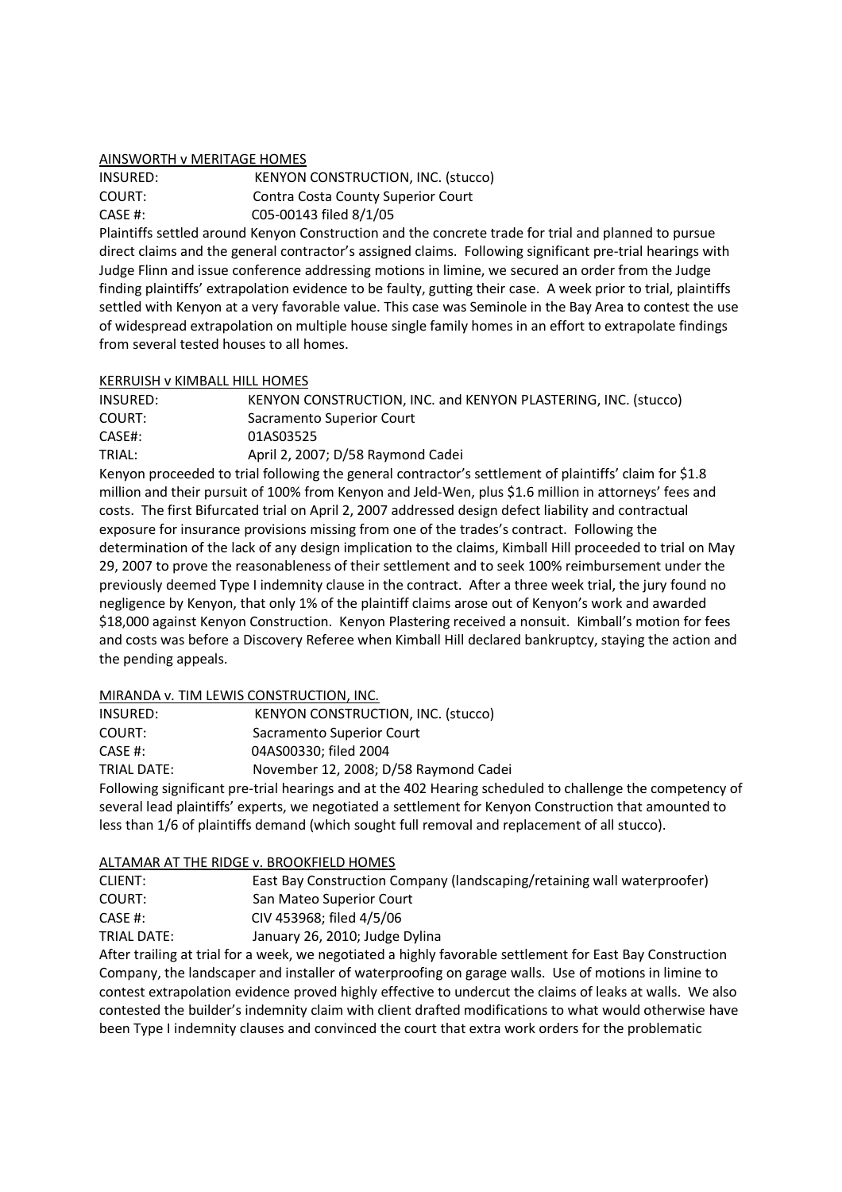### AINSWORTH v MERITAGE HOMES

INSURED: KENYON CONSTRUCTION, INC. (stucco) COURT: Contra Costa County Superior Court CASE #: C05-00143 filed 8/1/05

Plaintiffs settled around Kenyon Construction and the concrete trade for trial and planned to pursue direct claims and the general contractor's assigned claims. Following significant pre-trial hearings with Judge Flinn and issue conference addressing motions in limine, we secured an order from the Judge finding plaintiffs' extrapolation evidence to be faulty, gutting their case. A week prior to trial, plaintiffs settled with Kenyon at a very favorable value. This case was Seminole in the Bay Area to contest the use of widespread extrapolation on multiple house single family homes in an effort to extrapolate findings from several tested houses to all homes.

## KERRUISH v KIMBALL HILL HOMES

| INSURED: | KENYON CONSTRUCTION, INC. and KENYON PLASTERING, INC. (stucco) |
|----------|----------------------------------------------------------------|
| COURT:   | Sacramento Superior Court                                      |
| CASE#:   | 01AS03525                                                      |
| TRIAL:   | April 2, 2007; D/58 Raymond Cadei                              |
|          |                                                                |

Kenyon proceeded to trial following the general contractor's settlement of plaintiffs' claim for \$1.8 million and their pursuit of 100% from Kenyon and Jeld-Wen, plus \$1.6 million in attorneys' fees and costs. The first Bifurcated trial on April 2, 2007 addressed design defect liability and contractual exposure for insurance provisions missing from one of the trades's contract. Following the determination of the lack of any design implication to the claims, Kimball Hill proceeded to trial on May 29, 2007 to prove the reasonableness of their settlement and to seek 100% reimbursement under the previously deemed Type I indemnity clause in the contract. After a three week trial, the jury found no negligence by Kenyon, that only 1% of the plaintiff claims arose out of Kenyon's work and awarded \$18,000 against Kenyon Construction. Kenyon Plastering received a nonsuit. Kimball's motion for fees and costs was before a Discovery Referee when Kimball Hill declared bankruptcy, staying the action and the pending appeals.

## MIRANDA v. TIM LEWIS CONSTRUCTION, INC.

| INSURED:    | <b>KENYON CONSTRUCTION, INC. (stucco)</b>                                 |
|-------------|---------------------------------------------------------------------------|
| COURT:      | Sacramento Superior Court                                                 |
| CASE #:     | 04AS00330: filed 2004                                                     |
| TRIAL DATE: | November 12, 2008; D/58 Raymond Cadei                                     |
|             | Eollowing significant are trial hearings and at the 403 Hearing schoduled |

Following significant pre-trial hearings and at the 402 Hearing scheduled to challenge the competency of several lead plaintiffs' experts, we negotiated a settlement for Kenyon Construction that amounted to less than 1/6 of plaintiffs demand (which sought full removal and replacement of all stucco).

# ALTAMAR AT THE RIDGE v. BROOKFIELD HOMES

| CLIENT:     | East Bay Construction Company (landscaping/retaining wall waterproofer) |
|-------------|-------------------------------------------------------------------------|
| COURT:      | San Mateo Superior Court                                                |
| CASE #:     | CIV 453968: filed 4/5/06                                                |
| TRIAL DATE: | January 26, 2010; Judge Dylina                                          |

After trailing at trial for a week, we negotiated a highly favorable settlement for East Bay Construction Company, the landscaper and installer of waterproofing on garage walls. Use of motions in limine to contest extrapolation evidence proved highly effective to undercut the claims of leaks at walls. We also contested the builder's indemnity claim with client drafted modifications to what would otherwise have been Type I indemnity clauses and convinced the court that extra work orders for the problematic